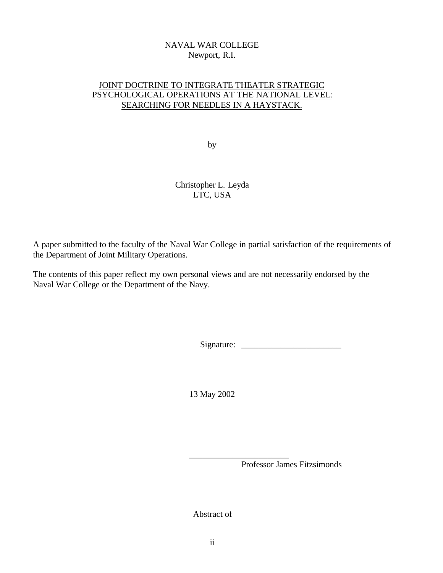# NAVAL WAR COLLEGE Newport, R.I.

# JOINT DOCTRINE TO INTEGRATE THEATER STRATEGIC PSYCHOLOGICAL OPERATIONS AT THE NATIONAL LEVEL: SEARCHING FOR NEEDLES IN A HAYSTACK.

by

# Christopher L. Leyda LTC, USA

A paper submitted to the faculty of the Naval War College in partial satisfaction of the requirements of the Department of Joint Military Operations.

The contents of this paper reflect my own personal views and are not necessarily endorsed by the Naval War College or the Department of the Navy.

Signature: \_\_\_\_\_\_\_\_\_\_\_\_\_\_\_\_\_\_\_\_\_\_\_

13 May 2002

Professor James Fitzsimonds

Abstract of

\_\_\_\_\_\_\_\_\_\_\_\_\_\_\_\_\_\_\_\_\_\_\_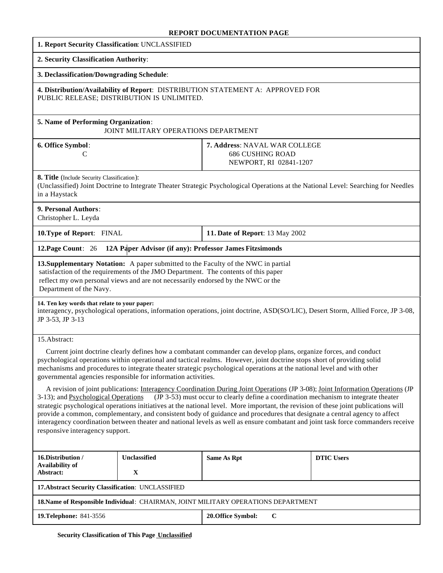#### **REPORT DOCUMENTATION PAGE**

| 1. Report Security Classification: UNCLASSIFIED                                                                                                                                                                                                                                                                                                                                                                                                                                                                                                                                                                                                                                                                                                                                                                                                                                                                                                                                                                                                                                                                                                                    |              |                                                                                    |                   |
|--------------------------------------------------------------------------------------------------------------------------------------------------------------------------------------------------------------------------------------------------------------------------------------------------------------------------------------------------------------------------------------------------------------------------------------------------------------------------------------------------------------------------------------------------------------------------------------------------------------------------------------------------------------------------------------------------------------------------------------------------------------------------------------------------------------------------------------------------------------------------------------------------------------------------------------------------------------------------------------------------------------------------------------------------------------------------------------------------------------------------------------------------------------------|--------------|------------------------------------------------------------------------------------|-------------------|
| 2. Security Classification Authority:                                                                                                                                                                                                                                                                                                                                                                                                                                                                                                                                                                                                                                                                                                                                                                                                                                                                                                                                                                                                                                                                                                                              |              |                                                                                    |                   |
| 3. Declassification/Downgrading Schedule:                                                                                                                                                                                                                                                                                                                                                                                                                                                                                                                                                                                                                                                                                                                                                                                                                                                                                                                                                                                                                                                                                                                          |              |                                                                                    |                   |
| 4. Distribution/Availability of Report: DISTRIBUTION STATEMENT A: APPROVED FOR<br>PUBLIC RELEASE; DISTRIBUTION IS UNLIMITED.                                                                                                                                                                                                                                                                                                                                                                                                                                                                                                                                                                                                                                                                                                                                                                                                                                                                                                                                                                                                                                       |              |                                                                                    |                   |
| 5. Name of Performing Organization:<br>JOINT MILITARY OPERATIONS DEPARTMENT                                                                                                                                                                                                                                                                                                                                                                                                                                                                                                                                                                                                                                                                                                                                                                                                                                                                                                                                                                                                                                                                                        |              |                                                                                    |                   |
| 6. Office Symbol:<br>C                                                                                                                                                                                                                                                                                                                                                                                                                                                                                                                                                                                                                                                                                                                                                                                                                                                                                                                                                                                                                                                                                                                                             |              | 7. Address: NAVAL WAR COLLEGE<br><b>686 CUSHING ROAD</b><br>NEWPORT, RI 02841-1207 |                   |
| 8. Title (Include Security Classification):<br>(Unclassified) Joint Doctrine to Integrate Theater Strategic Psychological Operations at the National Level: Searching for Needles<br>in a Haystack                                                                                                                                                                                                                                                                                                                                                                                                                                                                                                                                                                                                                                                                                                                                                                                                                                                                                                                                                                 |              |                                                                                    |                   |
| 9. Personal Authors:<br>Christopher L. Leyda                                                                                                                                                                                                                                                                                                                                                                                                                                                                                                                                                                                                                                                                                                                                                                                                                                                                                                                                                                                                                                                                                                                       |              |                                                                                    |                   |
| 10. Type of Report: FINAL                                                                                                                                                                                                                                                                                                                                                                                                                                                                                                                                                                                                                                                                                                                                                                                                                                                                                                                                                                                                                                                                                                                                          |              | 11. Date of Report: 13 May 2002                                                    |                   |
| 12A Paper Advisor (if any): Professor James Fitzsimonds<br>12. Page Count: 26                                                                                                                                                                                                                                                                                                                                                                                                                                                                                                                                                                                                                                                                                                                                                                                                                                                                                                                                                                                                                                                                                      |              |                                                                                    |                   |
| 13. Supplementary Notation: A paper submitted to the Faculty of the NWC in partial<br>satisfaction of the requirements of the JMO Department. The contents of this paper<br>reflect my own personal views and are not necessarily endorsed by the NWC or the<br>Department of the Navy.                                                                                                                                                                                                                                                                                                                                                                                                                                                                                                                                                                                                                                                                                                                                                                                                                                                                            |              |                                                                                    |                   |
| 14. Ten key words that relate to your paper:<br>interagency, psychological operations, information operations, joint doctrine, ASD(SO/LIC), Desert Storm, Allied Force, JP 3-08,<br>JP 3-53, JP 3-13                                                                                                                                                                                                                                                                                                                                                                                                                                                                                                                                                                                                                                                                                                                                                                                                                                                                                                                                                               |              |                                                                                    |                   |
| 15.Abstract:<br>Current joint doctrine clearly defines how a combatant commander can develop plans, organize forces, and conduct<br>psychological operations within operational and tactical realms. However, joint doctrine stops short of providing solid<br>mechanisms and procedures to integrate theater strategic psychological operations at the national level and with other<br>governmental agencies responsible for information activities.<br>A revision of joint publications: Interagency Coordination During Joint Operations (JP 3-08); Joint Information Operations (JP<br>(JP 3-53) must occur to clearly define a coordination mechanism to integrate theater<br>3-13); and Psychological Operations<br>strategic psychological operations initiatives at the national level. More important, the revision of these joint publications will<br>provide a common, complementary, and consistent body of guidance and procedures that designate a central agency to affect<br>interagency coordination between theater and national levels as well as ensure combatant and joint task force commanders receive<br>responsive interagency support. |              |                                                                                    |                   |
| 16.Distribution /<br><b>Availability of</b>                                                                                                                                                                                                                                                                                                                                                                                                                                                                                                                                                                                                                                                                                                                                                                                                                                                                                                                                                                                                                                                                                                                        | Unclassified | Same As Rpt                                                                        | <b>DTIC Users</b> |
| Abstract:                                                                                                                                                                                                                                                                                                                                                                                                                                                                                                                                                                                                                                                                                                                                                                                                                                                                                                                                                                                                                                                                                                                                                          | X            |                                                                                    |                   |
| 17. Abstract Security Classification: UNCLASSIFIED                                                                                                                                                                                                                                                                                                                                                                                                                                                                                                                                                                                                                                                                                                                                                                                                                                                                                                                                                                                                                                                                                                                 |              |                                                                                    |                   |
| 18. Name of Responsible Individual: CHAIRMAN, JOINT MILITARY OPERATIONS DEPARTMENT                                                                                                                                                                                                                                                                                                                                                                                                                                                                                                                                                                                                                                                                                                                                                                                                                                                                                                                                                                                                                                                                                 |              |                                                                                    |                   |
| 19. Telephone: 841-3556                                                                                                                                                                                                                                                                                                                                                                                                                                                                                                                                                                                                                                                                                                                                                                                                                                                                                                                                                                                                                                                                                                                                            |              | 20. Office Symbol:<br>$\bf C$                                                      |                   |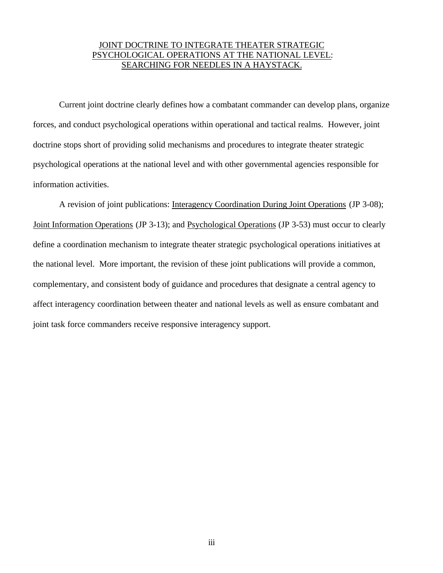## JOINT DOCTRINE TO INTEGRATE THEATER STRATEGIC PSYCHOLOGICAL OPERATIONS AT THE NATIONAL LEVEL: SEARCHING FOR NEEDLES IN A HAYSTACK.

Current joint doctrine clearly defines how a combatant commander can develop plans, organize forces, and conduct psychological operations within operational and tactical realms. However, joint doctrine stops short of providing solid mechanisms and procedures to integrate theater strategic psychological operations at the national level and with other governmental agencies responsible for information activities.

A revision of joint publications: Interagency Coordination During Joint Operations (JP 3-08); Joint Information Operations (JP 3-13); and Psychological Operations (JP 3-53) must occur to clearly define a coordination mechanism to integrate theater strategic psychological operations initiatives at the national level. More important, the revision of these joint publications will provide a common, complementary, and consistent body of guidance and procedures that designate a central agency to affect interagency coordination between theater and national levels as well as ensure combatant and joint task force commanders receive responsive interagency support.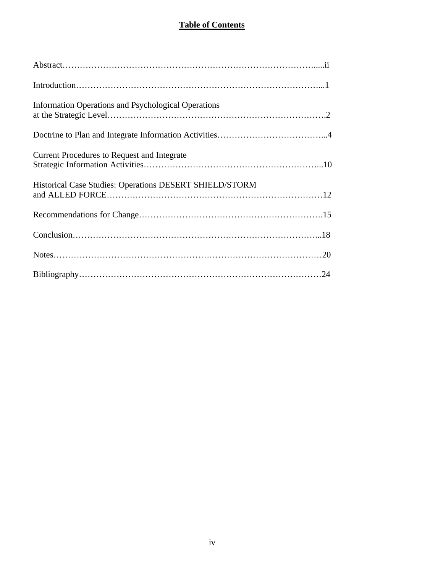# **Table of Contents**

| Information Operations and Psychological Operations     |
|---------------------------------------------------------|
|                                                         |
| <b>Current Procedures to Request and Integrate</b>      |
| Historical Case Studies: Operations DESERT SHIELD/STORM |
|                                                         |
|                                                         |
|                                                         |
|                                                         |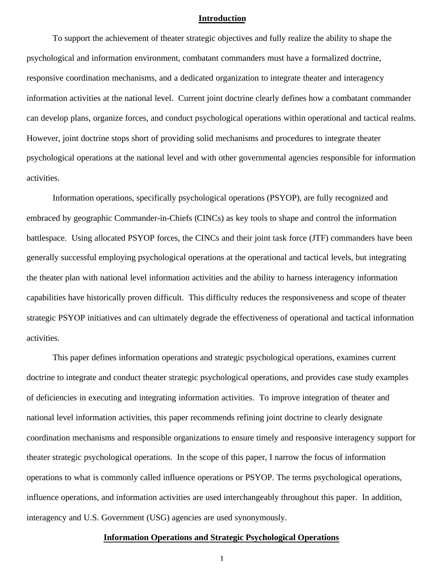#### **Introduction**

To support the achievement of theater strategic objectives and fully realize the ability to shape the psychological and information environment, combatant commanders must have a formalized doctrine, responsive coordination mechanisms, and a dedicated organization to integrate theater and interagency information activities at the national level. Current joint doctrine clearly defines how a combatant commander can develop plans, organize forces, and conduct psychological operations within operational and tactical realms. However, joint doctrine stops short of providing solid mechanisms and procedures to integrate theater psychological operations at the national level and with other governmental agencies responsible for information activities.

Information operations, specifically psychological operations (PSYOP), are fully recognized and embraced by geographic Commander-in-Chiefs (CINCs) as key tools to shape and control the information battlespace. Using allocated PSYOP forces, the CINCs and their joint task force (JTF) commanders have been generally successful employing psychological operations at the operational and tactical levels, but integrating the theater plan with national level information activities and the ability to harness interagency information capabilities have historically proven difficult. This difficulty reduces the responsiveness and scope of theater strategic PSYOP initiatives and can ultimately degrade the effectiveness of operational and tactical information activities.

This paper defines information operations and strategic psychological operations, examines current doctrine to integrate and conduct theater strategic psychological operations, and provides case study examples of deficiencies in executing and integrating information activities. To improve integration of theater and national level information activities, this paper recommends refining joint doctrine to clearly designate coordination mechanisms and responsible organizations to ensure timely and responsive interagency support for theater strategic psychological operations. In the scope of this paper, I narrow the focus of information operations to what is commonly called influence operations or PSYOP. The terms psychological operations, influence operations, and information activities are used interchangeably throughout this paper. In addition, interagency and U.S. Government (USG) agencies are used synonymously.

#### **Information Operations and Strategic Psychological Operations**

1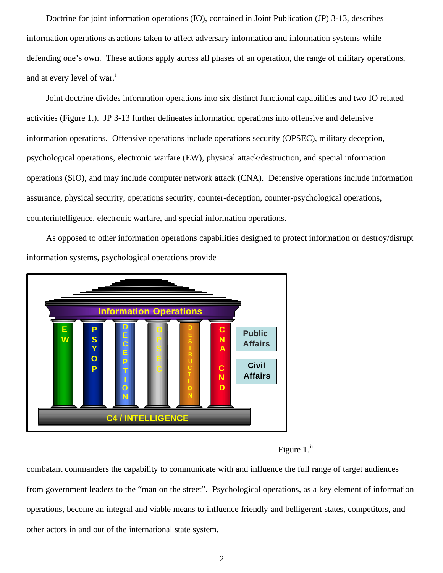Doctrine for joint information operations (IO), contained in Joint Publication (JP) 3-13, describes information operations as actions taken to affect adversary information and information systems while defending one's own. These actions apply across all phases of an operation, the range of military operations, and at every level of war.<sup>1</sup>

Joint doctrine divides information operations into six distinct functional capabilities and two IO related activities (Figure 1.). JP 3-13 further delineates information operations into offensive and defensive information operations. Offensive operations include operations security (OPSEC), military deception, psychological operations, electronic warfare (EW), physical attack/destruction, and special information operations (SIO), and may include computer network attack (CNA). Defensive operations include information assurance, physical security, operations security, counter-deception, counter-psychological operations, counterintelligence, electronic warfare, and special information operations.

As opposed to other information operations capabilities designed to protect information or destroy/disrupt information systems, psychological operations provide



Figure  $1<sup>ii</sup>$ 

combatant commanders the capability to communicate with and influence the full range of target audiences from government leaders to the "man on the street". Psychological operations, as a key element of information operations, become an integral and viable means to influence friendly and belligerent states, competitors, and other actors in and out of the international state system.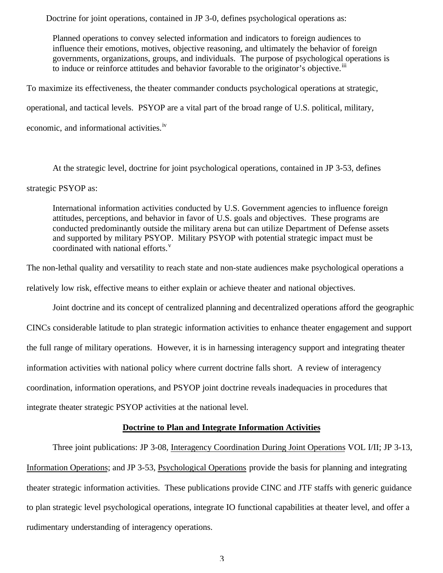Doctrine for joint operations, contained in JP 3-0, defines psychological operations as:

Planned operations to convey selected information and indicators to foreign audiences to influence their emotions, motives, objective reasoning, and ultimately the behavior of foreign governments, organizations, groups, and individuals. The purpose of psychological operations is to induce or reinforce attitudes and behavior favorable to the originator's objective.<sup>iii</sup>

To maximize its effectiveness, the theater commander conducts psychological operations at strategic, operational, and tactical levels. PSYOP are a vital part of the broad range of U.S. political, military, economic, and informational activities.<sup>iv</sup>

At the strategic level, doctrine for joint psychological operations, contained in JP 3-53, defines strategic PSYOP as:

International information activities conducted by U.S. Government agencies to influence foreign attitudes, perceptions, and behavior in favor of U.S. goals and objectives. These programs are conducted predominantly outside the military arena but can utilize Department of Defense assets and supported by military PSYOP. Military PSYOP with potential strategic impact must be coordinated with national efforts.<sup>v</sup>

The non-lethal quality and versatility to reach state and non-state audiences make psychological operations a

relatively low risk, effective means to either explain or achieve theater and national objectives.

Joint doctrine and its concept of centralized planning and decentralized operations afford the geographic CINCs considerable latitude to plan strategic information activities to enhance theater engagement and support the full range of military operations. However, it is in harnessing interagency support and integrating theater information activities with national policy where current doctrine falls short. A review of interagency coordination, information operations, and PSYOP joint doctrine reveals inadequacies in procedures that integrate theater strategic PSYOP activities at the national level.

## **Doctrine to Plan and Integrate Information Activities**

Three joint publications: JP 3-08, Interagency Coordination During Joint Operations VOL I/II; JP 3-13, Information Operations; and JP 3-53, Psychological Operations provide the basis for planning and integrating theater strategic information activities. These publications provide CINC and JTF staffs with generic guidance to plan strategic level psychological operations, integrate IO functional capabilities at theater level, and offer a rudimentary understanding of interagency operations.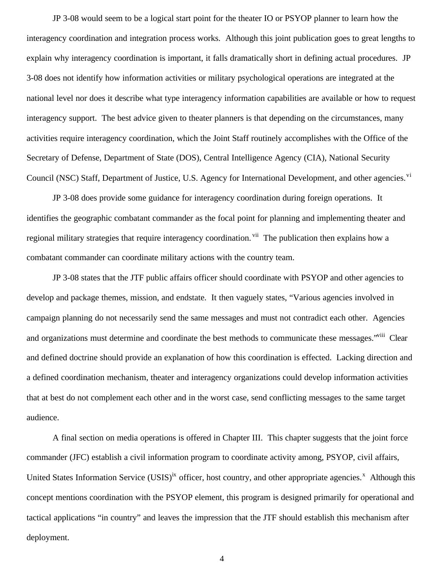JP 3-08 would seem to be a logical start point for the theater IO or PSYOP planner to learn how the interagency coordination and integration process works. Although this joint publication goes to great lengths to explain why interagency coordination is important, it falls dramatically short in defining actual procedures. JP 3-08 does not identify how information activities or military psychological operations are integrated at the national level nor does it describe what type interagency information capabilities are available or how to request interagency support. The best advice given to theater planners is that depending on the circumstances, many activities require interagency coordination, which the Joint Staff routinely accomplishes with the Office of the Secretary of Defense, Department of State (DOS), Central Intelligence Agency (CIA), National Security Council (NSC) Staff, Department of Justice, U.S. Agency for International Development, and other agencies.<sup>vi</sup>

JP 3-08 does provide some guidance for interagency coordination during foreign operations. It identifies the geographic combatant commander as the focal point for planning and implementing theater and regional military strategies that require interagency coordination. <sup>vii</sup> The publication then explains how a combatant commander can coordinate military actions with the country team.

JP 3-08 states that the JTF public affairs officer should coordinate with PSYOP and other agencies to develop and package themes, mission, and endstate. It then vaguely states, "Various agencies involved in campaign planning do not necessarily send the same messages and must not contradict each other. Agencies and organizations must determine and coordinate the best methods to communicate these messages."<sup>viii</sup> Clear and defined doctrine should provide an explanation of how this coordination is effected. Lacking direction and a defined coordination mechanism, theater and interagency organizations could develop information activities that at best do not complement each other and in the worst case, send conflicting messages to the same target audience.

A final section on media operations is offered in Chapter III. This chapter suggests that the joint force commander (JFC) establish a civil information program to coordinate activity among, PSYOP, civil affairs, United States Information Service (USIS)<sup>ix</sup> officer, host country, and other appropriate agencies.<sup>x</sup> Although this concept mentions coordination with the PSYOP element, this program is designed primarily for operational and tactical applications "in country" and leaves the impression that the JTF should establish this mechanism after deployment.

4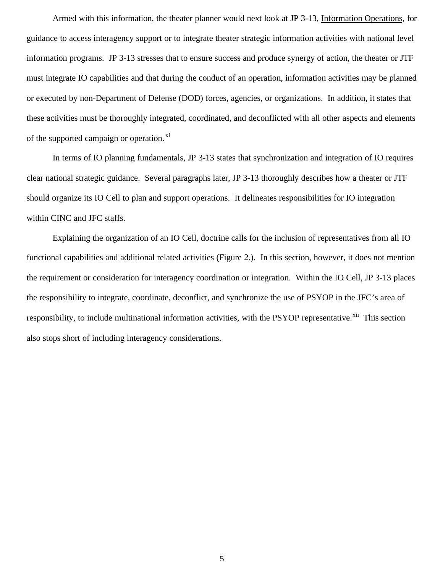Armed with this information, the theater planner would next look at JP 3-13, Information Operations, for guidance to access interagency support or to integrate theater strategic information activities with national level information programs. JP 3-13 stresses that to ensure success and produce synergy of action, the theater or JTF must integrate IO capabilities and that during the conduct of an operation, information activities may be planned or executed by non-Department of Defense (DOD) forces, agencies, or organizations. In addition, it states that these activities must be thoroughly integrated, coordinated, and deconflicted with all other aspects and elements of the supported campaign or operation.<sup>xi</sup>

In terms of IO planning fundamentals, JP 3-13 states that synchronization and integration of IO requires clear national strategic guidance. Several paragraphs later, JP 3-13 thoroughly describes how a theater or JTF should organize its IO Cell to plan and support operations. It delineates responsibilities for IO integration within CINC and JFC staffs.

Explaining the organization of an IO Cell, doctrine calls for the inclusion of representatives from all IO functional capabilities and additional related activities (Figure 2.). In this section, however, it does not mention the requirement or consideration for interagency coordination or integration. Within the IO Cell, JP 3-13 places the responsibility to integrate, coordinate, deconflict, and synchronize the use of PSYOP in the JFC's area of responsibility, to include multinational information activities, with the PSYOP representative.<sup>xii</sup> This section also stops short of including interagency considerations.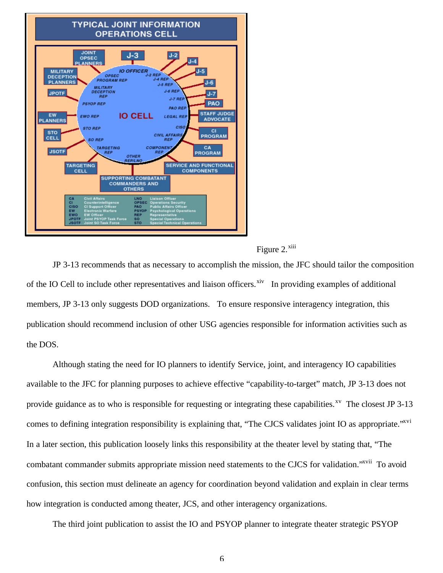



JP 3-13 recommends that as necessary to accomplish the mission, the JFC should tailor the composition of the IO Cell to include other representatives and liaison officers.<sup>xiv</sup> In providing examples of additional members, JP 3-13 only suggests DOD organizations. To ensure responsive interagency integration, this publication should recommend inclusion of other USG agencies responsible for information activities such as the DOS.

Although stating the need for IO planners to identify Service, joint, and interagency IO capabilities available to the JFC for planning purposes to achieve effective "capability-to-target" match, JP 3-13 does not provide guidance as to who is responsible for requesting or integrating these capabilities.<sup>xv</sup> The closest JP 3-13 comes to defining integration responsibility is explaining that, "The CJCS validates joint IO as appropriate."<sup>xvi</sup> In a later section, this publication loosely links this responsibility at the theater level by stating that, "The combatant commander submits appropriate mission need statements to the CJCS for validation.<sup>"xvii</sup> To avoid confusion, this section must delineate an agency for coordination beyond validation and explain in clear terms how integration is conducted among theater, JCS, and other interagency organizations.

The third joint publication to assist the IO and PSYOP planner to integrate theater strategic PSYOP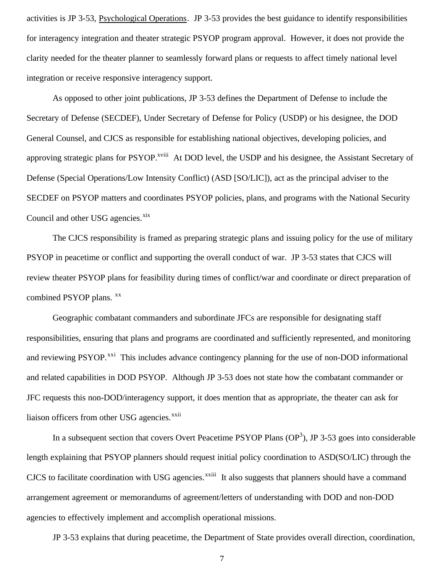activities is JP 3-53, Psychological Operations. JP 3-53 provides the best guidance to identify responsibilities for interagency integration and theater strategic PSYOP program approval. However, it does not provide the clarity needed for the theater planner to seamlessly forward plans or requests to affect timely national level integration or receive responsive interagency support.

As opposed to other joint publications, JP 3-53 defines the Department of Defense to include the Secretary of Defense (SECDEF), Under Secretary of Defense for Policy (USDP) or his designee, the DOD General Counsel, and CJCS as responsible for establishing national objectives, developing policies, and approving strategic plans for PSYOP.<sup>xviii</sup> At DOD level, the USDP and his designee, the Assistant Secretary of Defense (Special Operations/Low Intensity Conflict) (ASD [SO/LIC]), act as the principal adviser to the SECDEF on PSYOP matters and coordinates PSYOP policies, plans, and programs with the National Security Council and other USG agencies.<sup>xix</sup>

The CJCS responsibility is framed as preparing strategic plans and issuing policy for the use of military PSYOP in peacetime or conflict and supporting the overall conduct of war. JP 3-53 states that CJCS will review theater PSYOP plans for feasibility during times of conflict/war and coordinate or direct preparation of combined PSYOP plans. <sup>xx</sup>

Geographic combatant commanders and subordinate JFCs are responsible for designating staff responsibilities, ensuring that plans and programs are coordinated and sufficiently represented, and monitoring and reviewing PSYOP.<sup>xxi</sup> This includes advance contingency planning for the use of non-DOD informational and related capabilities in DOD PSYOP. Although JP 3-53 does not state how the combatant commander or JFC requests this non-DOD/interagency support, it does mention that as appropriate, the theater can ask for liaison officers from other USG agencies.<sup>xxii</sup>

In a subsequent section that covers Overt Peacetime PSYOP Plans  $OP<sup>3</sup>$ ), JP 3-53 goes into considerable length explaining that PSYOP planners should request initial policy coordination to ASD(SO/LIC) through the CJCS to facilitate coordination with USG agencies.<sup>xxiii</sup> It also suggests that planners should have a command arrangement agreement or memorandums of agreement/letters of understanding with DOD and non-DOD agencies to effectively implement and accomplish operational missions.

JP 3-53 explains that during peacetime, the Department of State provides overall direction, coordination,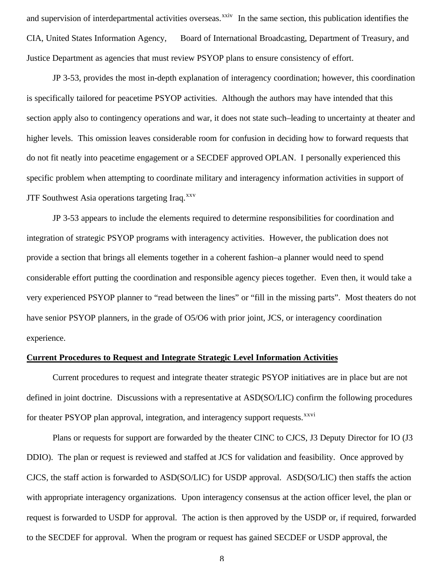and supervision of interdepartmental activities overseas.<sup>xxiv</sup> In the same section, this publication identifies the CIA, United States Information Agency, Board of International Broadcasting, Department of Treasury, and Justice Department as agencies that must review PSYOP plans to ensure consistency of effort.

JP 3-53, provides the most in-depth explanation of interagency coordination; however, this coordination is specifically tailored for peacetime PSYOP activities. Although the authors may have intended that this section apply also to contingency operations and war, it does not state such–leading to uncertainty at theater and higher levels. This omission leaves considerable room for confusion in deciding how to forward requests that do not fit neatly into peacetime engagement or a SECDEF approved OPLAN. I personally experienced this specific problem when attempting to coordinate military and interagency information activities in support of JTF Southwest Asia operations targeting Iraq. $^{xxv}$ 

JP 3-53 appears to include the elements required to determine responsibilities for coordination and integration of strategic PSYOP programs with interagency activities. However, the publication does not provide a section that brings all elements together in a coherent fashion–a planner would need to spend considerable effort putting the coordination and responsible agency pieces together. Even then, it would take a very experienced PSYOP planner to "read between the lines" or "fill in the missing parts". Most theaters do not have senior PSYOP planners, in the grade of O5/O6 with prior joint, JCS, or interagency coordination experience.

## **Current Procedures to Request and Integrate Strategic Level Information Activities**

Current procedures to request and integrate theater strategic PSYOP initiatives are in place but are not defined in joint doctrine. Discussions with a representative at ASD(SO/LIC) confirm the following procedures for theater PSYOP plan approval, integration, and interagency support requests.<sup>xxvi</sup>

Plans or requests for support are forwarded by the theater CINC to CJCS, J3 Deputy Director for IO (J3 DDIO). The plan or request is reviewed and staffed at JCS for validation and feasibility. Once approved by CJCS, the staff action is forwarded to ASD(SO/LIC) for USDP approval. ASD(SO/LIC) then staffs the action with appropriate interagency organizations. Upon interagency consensus at the action officer level, the plan or request is forwarded to USDP for approval. The action is then approved by the USDP or, if required, forwarded to the SECDEF for approval. When the program or request has gained SECDEF or USDP approval, the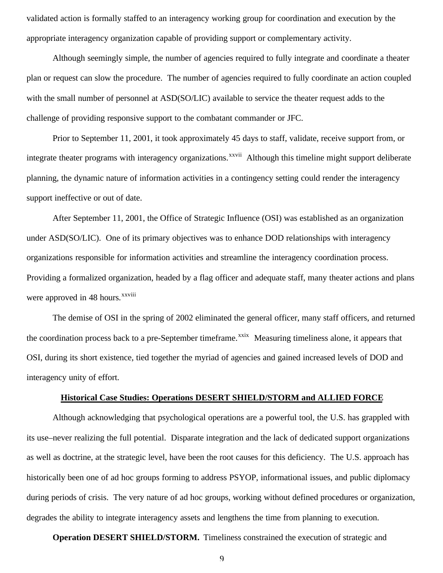validated action is formally staffed to an interagency working group for coordination and execution by the appropriate interagency organization capable of providing support or complementary activity.

Although seemingly simple, the number of agencies required to fully integrate and coordinate a theater plan or request can slow the procedure. The number of agencies required to fully coordinate an action coupled with the small number of personnel at ASD(SO/LIC) available to service the theater request adds to the challenge of providing responsive support to the combatant commander or JFC.

Prior to September 11, 2001, it took approximately 45 days to staff, validate, receive support from, or integrate theater programs with interagency organizations.<sup>xxvii</sup> Although this timeline might support deliberate planning, the dynamic nature of information activities in a contingency setting could render the interagency support ineffective or out of date.

After September 11, 2001, the Office of Strategic Influence (OSI) was established as an organization under ASD(SO/LIC). One of its primary objectives was to enhance DOD relationships with interagency organizations responsible for information activities and streamline the interagency coordination process. Providing a formalized organization, headed by a flag officer and adequate staff, many theater actions and plans were approved in 48 hours.<sup>xxviii</sup>

The demise of OSI in the spring of 2002 eliminated the general officer, many staff officers, and returned the coordination process back to a pre-September timeframe.<sup>xxix</sup> Measuring timeliness alone, it appears that OSI, during its short existence, tied together the myriad of agencies and gained increased levels of DOD and interagency unity of effort.

### **Historical Case Studies: Operations DESERT SHIELD/STORM and ALLIED FORCE**

Although acknowledging that psychological operations are a powerful tool, the U.S. has grappled with its use–never realizing the full potential. Disparate integration and the lack of dedicated support organizations as well as doctrine, at the strategic level, have been the root causes for this deficiency. The U.S. approach has historically been one of ad hoc groups forming to address PSYOP, informational issues, and public diplomacy during periods of crisis. The very nature of ad hoc groups, working without defined procedures or organization, degrades the ability to integrate interagency assets and lengthens the time from planning to execution.

**Operation DESERT SHIELD/STORM.** Timeliness constrained the execution of strategic and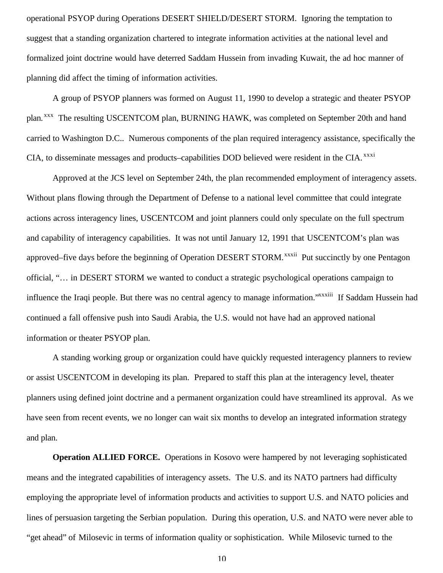operational PSYOP during Operations DESERT SHIELD/DESERT STORM. Ignoring the temptation to suggest that a standing organization chartered to integrate information activities at the national level and formalized joint doctrine would have deterred Saddam Hussein from invading Kuwait, the ad hoc manner of planning did affect the timing of information activities.

A group of PSYOP planners was formed on August 11, 1990 to develop a strategic and theater PSYOP plan.<sup>xxx</sup> The resulting USCENTCOM plan, BURNING HAWK, was completed on September 20th and hand carried to Washington D.C.. Numerous components of the plan required interagency assistance, specifically the CIA, to disseminate messages and products–capabilities DOD believed were resident in the CIA. xxxi

Approved at the JCS level on September 24th, the plan recommended employment of interagency assets. Without plans flowing through the Department of Defense to a national level committee that could integrate actions across interagency lines, USCENTCOM and joint planners could only speculate on the full spectrum and capability of interagency capabilities. It was not until January 12, 1991 that USCENTCOM's plan was approved–five days before the beginning of Operation DESERT STORM.<sup>xxxii</sup> Put succinctly by one Pentagon official, "… in DESERT STORM we wanted to conduct a strategic psychological operations campaign to influence the Iraqi people. But there was no central agency to manage information."xxxiii If Saddam Hussein had continued a fall offensive push into Saudi Arabia, the U.S. would not have had an approved national information or theater PSYOP plan.

A standing working group or organization could have quickly requested interagency planners to review or assist USCENTCOM in developing its plan. Prepared to staff this plan at the interagency level, theater planners using defined joint doctrine and a permanent organization could have streamlined its approval. As we have seen from recent events, we no longer can wait six months to develop an integrated information strategy and plan.

**Operation ALLIED FORCE.** Operations in Kosovo were hampered by not leveraging sophisticated means and the integrated capabilities of interagency assets. The U.S. and its NATO partners had difficulty employing the appropriate level of information products and activities to support U.S. and NATO policies and lines of persuasion targeting the Serbian population. During this operation, U.S. and NATO were never able to "get ahead" of Milosevic in terms of information quality or sophistication. While Milosevic turned to the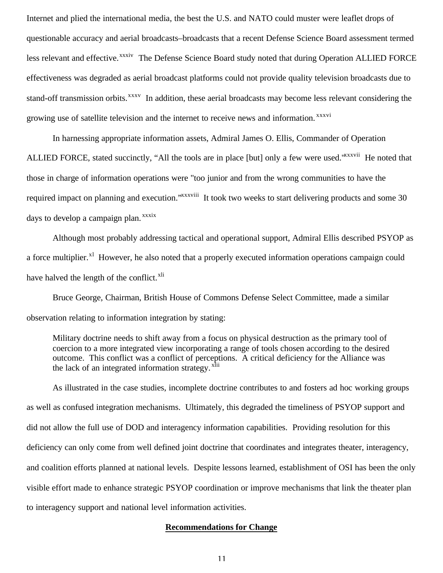Internet and plied the international media, the best the U.S. and NATO could muster were leaflet drops of questionable accuracy and aerial broadcasts–broadcasts that a recent Defense Science Board assessment termed less relevant and effective.<sup>xxxiv</sup> The Defense Science Board study noted that during Operation ALLIED FORCE effectiveness was degraded as aerial broadcast platforms could not provide quality television broadcasts due to stand-off transmission orbits.<sup>xxxv</sup> In addition, these aerial broadcasts may become less relevant considering the growing use of satellite television and the internet to receive news and information.<sup>xxxvi</sup>

In harnessing appropriate information assets, Admiral James O. Ellis, Commander of Operation ALLIED FORCE, stated succinctly, "All the tools are in place [but] only a few were used."<sup>xxxvii</sup> He noted that those in charge of information operations were "too junior and from the wrong communities to have the required impact on planning and execution."xxxviii It took two weeks to start delivering products and some 30 days to develop a campaign plan. *xxxix* 

Although most probably addressing tactical and operational support, Admiral Ellis described PSYOP as a force multiplier.<sup>xl</sup> However, he also noted that a properly executed information operations campaign could have halved the length of the conflict. $X<sup>11</sup>$ 

Bruce George, Chairman, British House of Commons Defense Select Committee, made a similar observation relating to information integration by stating:

Military doctrine needs to shift away from a focus on physical destruction as the primary tool of coercion to a more integrated view incorporating a range of tools chosen according to the desired outcome. This conflict was a conflict of perceptions. A critical deficiency for the Alliance was the lack of an integrated information strategy. <sup>xhii</sup>

As illustrated in the case studies, incomplete doctrine contributes to and fosters ad hoc working groups as well as confused integration mechanisms. Ultimately, this degraded the timeliness of PSYOP support and did not allow the full use of DOD and interagency information capabilities. Providing resolution for this deficiency can only come from well defined joint doctrine that coordinates and integrates theater, interagency, and coalition efforts planned at national levels. Despite lessons learned, establishment of OSI has been the only visible effort made to enhance strategic PSYOP coordination or improve mechanisms that link the theater plan to interagency support and national level information activities.

#### **Recommendations for Change**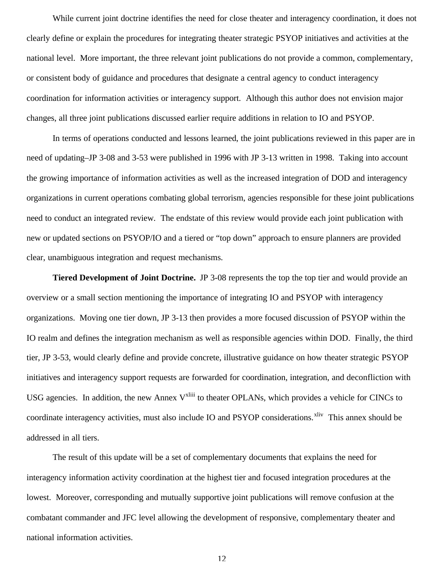While current joint doctrine identifies the need for close theater and interagency coordination, it does not clearly define or explain the procedures for integrating theater strategic PSYOP initiatives and activities at the national level. More important, the three relevant joint publications do not provide a common, complementary, or consistent body of guidance and procedures that designate a central agency to conduct interagency coordination for information activities or interagency support. Although this author does not envision major changes, all three joint publications discussed earlier require additions in relation to IO and PSYOP.

In terms of operations conducted and lessons learned, the joint publications reviewed in this paper are in need of updating–JP 3-08 and 3-53 were published in 1996 with JP 3-13 written in 1998. Taking into account the growing importance of information activities as well as the increased integration of DOD and interagency organizations in current operations combating global terrorism, agencies responsible for these joint publications need to conduct an integrated review. The endstate of this review would provide each joint publication with new or updated sections on PSYOP/IO and a tiered or "top down" approach to ensure planners are provided clear, unambiguous integration and request mechanisms.

**Tiered Development of Joint Doctrine.** JP 3-08 represents the top the top tier and would provide an overview or a small section mentioning the importance of integrating IO and PSYOP with interagency organizations. Moving one tier down, JP 3-13 then provides a more focused discussion of PSYOP within the IO realm and defines the integration mechanism as well as responsible agencies within DOD. Finally, the third tier, JP 3-53, would clearly define and provide concrete, illustrative guidance on how theater strategic PSYOP initiatives and interagency support requests are forwarded for coordination, integration, and deconfliction with USG agencies. In addition, the new Annex V<sup>xliii</sup> to theater OPLANs, which provides a vehicle for CINCs to coordinate interagency activities, must also include IO and PSYOP considerations.<sup>xliv</sup> This annex should be addressed in all tiers.

The result of this update will be a set of complementary documents that explains the need for interagency information activity coordination at the highest tier and focused integration procedures at the lowest. Moreover, corresponding and mutually supportive joint publications will remove confusion at the combatant commander and JFC level allowing the development of responsive, complementary theater and national information activities.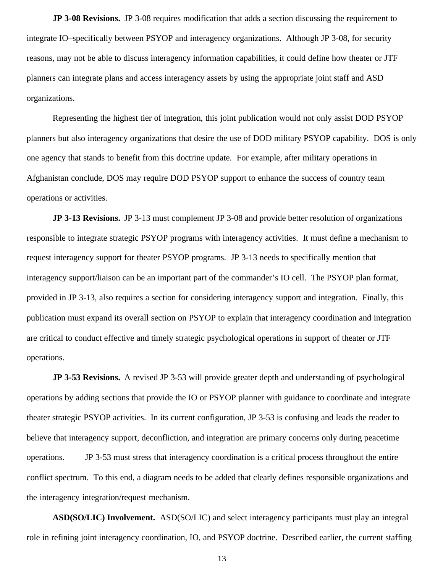**JP 3-08 Revisions.** JP 3-08 requires modification that adds a section discussing the requirement to integrate IO–specifically between PSYOP and interagency organizations. Although JP 3-08, for security reasons, may not be able to discuss interagency information capabilities, it could define how theater or JTF planners can integrate plans and access interagency assets by using the appropriate joint staff and ASD organizations.

Representing the highest tier of integration, this joint publication would not only assist DOD PSYOP planners but also interagency organizations that desire the use of DOD military PSYOP capability. DOS is only one agency that stands to benefit from this doctrine update. For example, after military operations in Afghanistan conclude, DOS may require DOD PSYOP support to enhance the success of country team operations or activities.

**JP 3-13 Revisions.** JP 3-13 must complement JP 3-08 and provide better resolution of organizations responsible to integrate strategic PSYOP programs with interagency activities. It must define a mechanism to request interagency support for theater PSYOP programs. JP 3-13 needs to specifically mention that interagency support/liaison can be an important part of the commander's IO cell. The PSYOP plan format, provided in JP 3-13, also requires a section for considering interagency support and integration. Finally, this publication must expand its overall section on PSYOP to explain that interagency coordination and integration are critical to conduct effective and timely strategic psychological operations in support of theater or JTF operations.

**JP 3-53 Revisions.** A revised JP 3-53 will provide greater depth and understanding of psychological operations by adding sections that provide the IO or PSYOP planner with guidance to coordinate and integrate theater strategic PSYOP activities. In its current configuration, JP 3-53 is confusing and leads the reader to believe that interagency support, deconfliction, and integration are primary concerns only during peacetime operations. JP 3-53 must stress that interagency coordination is a critical process throughout the entire conflict spectrum. To this end, a diagram needs to be added that clearly defines responsible organizations and the interagency integration/request mechanism.

**ASD(SO/LIC) Involvement.** ASD(SO/LIC) and select interagency participants must play an integral role in refining joint interagency coordination, IO, and PSYOP doctrine. Described earlier, the current staffing

13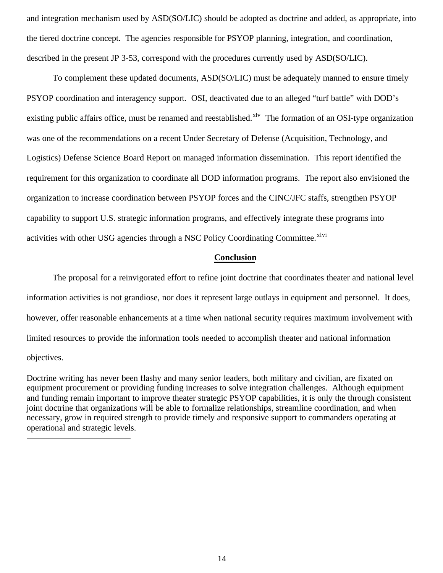and integration mechanism used by ASD(SO/LIC) should be adopted as doctrine and added, as appropriate, into the tiered doctrine concept. The agencies responsible for PSYOP planning, integration, and coordination, described in the present JP 3-53, correspond with the procedures currently used by ASD(SO/LIC).

To complement these updated documents, ASD(SO/LIC) must be adequately manned to ensure timely PSYOP coordination and interagency support. OSI, deactivated due to an alleged "turf battle" with DOD's existing public affairs office, must be renamed and reestablished.<sup>xlv</sup> The formation of an OSI-type organization was one of the recommendations on a recent Under Secretary of Defense (Acquisition, Technology, and Logistics) Defense Science Board Report on managed information dissemination. This report identified the requirement for this organization to coordinate all DOD information programs. The report also envisioned the organization to increase coordination between PSYOP forces and the CINC/JFC staffs, strengthen PSYOP capability to support U.S. strategic information programs, and effectively integrate these programs into activities with other USG agencies through a NSC Policy Coordinating Committee.<sup>xlvi</sup>

#### **Conclusion**

The proposal for a reinvigorated effort to refine joint doctrine that coordinates theater and national level information activities is not grandiose, nor does it represent large outlays in equipment and personnel. It does, however, offer reasonable enhancements at a time when national security requires maximum involvement with limited resources to provide the information tools needed to accomplish theater and national information objectives.

Doctrine writing has never been flashy and many senior leaders, both military and civilian, are fixated on equipment procurement or providing funding increases to solve integration challenges. Although equipment and funding remain important to improve theater strategic PSYOP capabilities, it is only the through consistent joint doctrine that organizations will be able to formalize relationships, streamline coordination, and when necessary, grow in required strength to provide timely and responsive support to commanders operating at operational and strategic levels.

 $\overline{a}$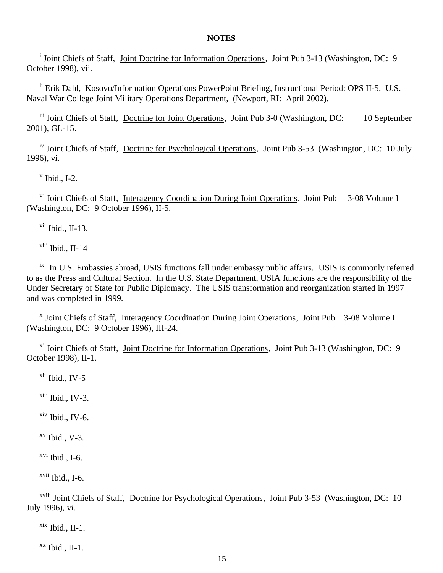#### **NOTES**

<sup>i</sup> Joint Chiefs of Staff, Joint Doctrine for Information Operations, Joint Pub 3-13 (Washington, DC: 9 October 1998), vii.

ii Erik Dahl, Kosovo/Information Operations PowerPoint Briefing, Instructional Period: OPS II-5, U.S. Naval War College Joint Military Operations Department, (Newport, RI: April 2002).

iii Joint Chiefs of Staff, Doctrine for Joint Operations, Joint Pub 3-0 (Washington, DC: 10 September 2001), GL-15.

iv Joint Chiefs of Staff, Doctrine for Psychological Operations, Joint Pub 3-53 (Washington, DC: 10 July 1996), vi.

 $v$  Ibid., I-2.

 $\overline{a}$ 

<sup>vi</sup> Joint Chiefs of Staff, Interagency Coordination During Joint Operations, Joint Pub 3-08 Volume I (Washington, DC: 9 October 1996), II-5.

 $vii$  Ibid., II-13.

viii Ibid., II-14

<sup>ix</sup> In U.S. Embassies abroad, USIS functions fall under embassy public affairs. USIS is commonly referred to as the Press and Cultural Section. In the U.S. State Department, USIA functions are the responsibility of the Under Secretary of State for Public Diplomacy. The USIS transformation and reorganization started in 1997 and was completed in 1999.

<sup>x</sup> Joint Chiefs of Staff, Interagency Coordination During Joint Operations, Joint Pub 3-08 Volume I (Washington, DC: 9 October 1996), III-24.

xi Joint Chiefs of Staff, Joint Doctrine for Information Operations, Joint Pub 3-13 (Washington, DC: 9 October 1998), II-1.

xii Ibid., IV-5

 $x$ iii Ibid., IV-3.

xiv Ibid., IV-6.

 $xv$  Ibid., V-3.

 $xvi$  Ibid., I-6.

 $xvii$  Ibid., I-6.

xviii Joint Chiefs of Staff, Doctrine for Psychological Operations, Joint Pub 3-53 (Washington, DC: 10 July 1996), vi.

 $x$ <sup>xix</sup> Ibid., II-1.

 $XX$  Ibid., II-1.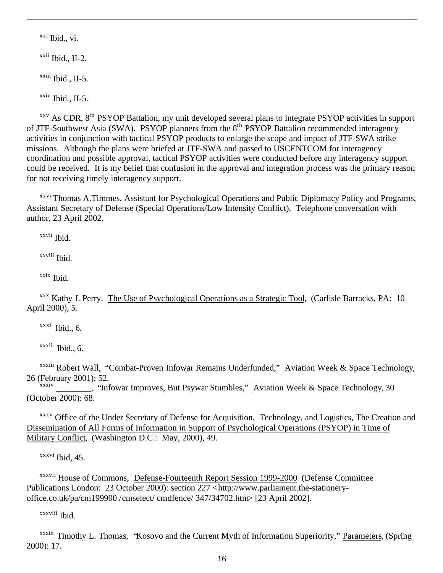$xxi$  Ibid., vi.

 $\overline{a}$ 

 $\frac{x}{}$ <sup>xxii</sup> Ibid., II-2.

 $x$ <sup>xxiii</sup> Ibid., II-5.

 $xxiv$  Ibid., II-5.

<sup>xxv</sup> As CDR, 8<sup>th</sup> PSYOP Battalion, my unit developed several plans to integrate PSYOP activities in support of JTF-Southwest Asia (SWA). PSYOP planners from the 8<sup>th</sup> PSYOP Battalion recommended interagency activities in conjunction with tactical PSYOP products to enlarge the scope and impact of JTF-SWA strike missions. Although the plans were briefed at JTF-SWA and passed to USCENTCOM for interagency coordination and possible approval, tactical PSYOP activities were conducted before any interagency support could be received. It is my belief that confusion in the approval and integration process was the primary reason for not receiving timely interagency support.

<sup>xxvi</sup> Thomas A.Timmes, Assistant for Psychological Operations and Public Diplomacy Policy and Programs, Assistant Secretary of Defense (Special Operations/Low Intensity Conflict), Telephone conversation with author, 23 April 2002.

xxvii Ibid.

xxviii Ibid.

xxix Ibid.

<sup>xxx</sup> Kathy J. Perry, The Use of Psychological Operations as a Strategic Tool, (Carlisle Barracks, PA: 10) April 2000), 5.

 $x$ <sup>xxxi</sup> Ibid., 6.

xxxii Ibid., 6.

xxxiii Robert Wall, "Combat-Proven Infowar Remains Underfunded," Aviation Week & Space Technology, 26 (February 2001): 52.

<sub>\_\_</sub>, "Infowar Improves, But Psywar Stumbles," Aviation Week & Space Technology, 30 (October 2000): 68.

xxxv Office of the Under Secretary of Defense for Acquisition, Technology, and Logistics, The Creation and Dissemination of All Forms of Information in Support of Psychological Operations (PSYOP) in Time of Military Conflict, (Washington D.C.: May, 2000), 49.

xxxvi Ibid, 45.

xxxvii House of Commons, Defense-Fourteenth Report Session 1999-2000 (Defense Committee Publications London: 23 October 2000): section 227 <http://www.parliament.the-stationeryoffice.co.uk/pa/cm199900 /cmselect/ cmdfence/ 347/34702.htm> [23 April 2002].

xxxviii Ibid.

xxxix Timothy L. Thomas, "Kosovo and the Current Myth of Information Superiority," Parameters, (Spring 2000): 17.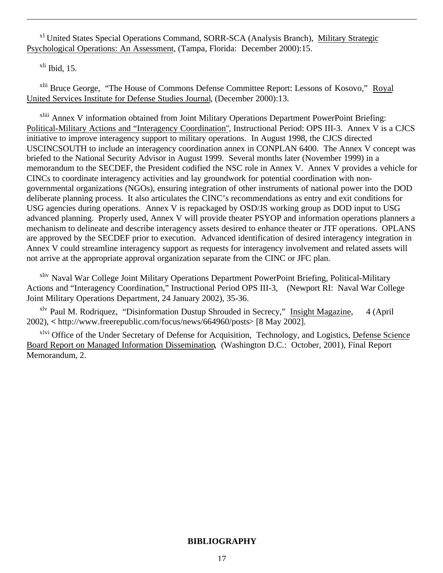<sup>x1</sup> United States Special Operations Command, SORR-SCA (Analysis Branch), Military Strategic Psychological Operations: An Assessment, (Tampa, Florida: December 2000):15.

 $x<sup>li</sup>$  Ibid, 15.

 $\overline{a}$ 

<sup>xlii</sup> Bruce George, "The House of Commons Defense Committee Report: Lessons of Kosovo," Royal United Services Institute for Defense Studies Journal, (December 2000):13.

xliii Annex V information obtained from Joint Military Operations Department PowerPoint Briefing: Political-Military Actions and "Interagency Coordination", Instructional Period: OPS III-3. Annex V is a CJCS initiative to improve interagency support to military operations. In August 1998, the CJCS directed USCINCSOUTH to include an interagency coordination annex in CONPLAN 6400. The Annex V concept was briefed to the National Security Advisor in August 1999. Several months later (November 1999) in a memorandum to the SECDEF, the President codified the NSC role in Annex V. Annex V provides a vehicle for CINCs to coordinate interagency activities and lay groundwork for potential coordination with nongovernmental organizations (NGOs), ensuring integration of other instruments of national power into the DOD deliberate planning process. It also articulates the CINC's recommendations as entry and exit conditions for USG agencies during operations. Annex V is repackaged by OSD/JS working group as DOD input to USG advanced planning. Properly used, Annex V will provide theater PSYOP and information operations planners a mechanism to delineate and describe interagency assets desired to enhance theater or JTF operations. OPLANS are approved by the SECDEF prior to execution. Advanced identification of desired interagency integration in Annex V could streamline interagency support as requests for interagency involvement and related assets will not arrive at the appropriate approval organization separate from the CINC or JFC plan.

<sup>xliv</sup> Naval War College Joint Military Operations Department PowerPoint Briefing, Political-Military Actions and "Interagency Coordination," Instructional Period OPS III-3, (Newport RI: Naval War College Joint Military Operations Department, 24 January 2002), 35-36.

<sup>xlv</sup> Paul M. Rodriquez, "Disinformation Dustup Shrouded in Secrecy," Insight Magazine, 4 (April 2002), **<** http://www.freerepublic.com/focus/news/664960/posts> [8 May 2002].

<sup>xlvi</sup> Office of the Under Secretary of Defense for Acquisition, Technology, and Logistics, Defense Science Board Report on Managed Information Dissemination, (Washington D.C.: October, 2001), Final Report Memorandum, 2.

## **BIBLIOGRAPHY**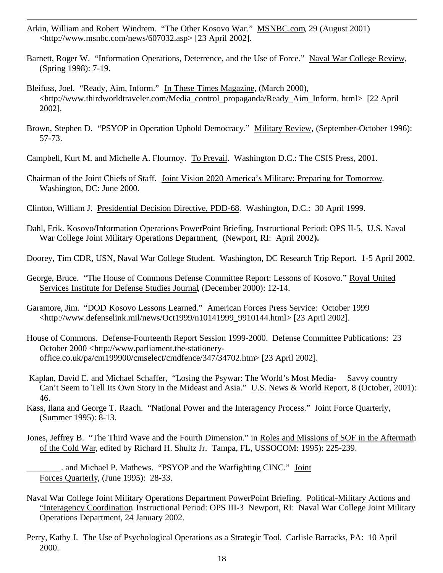Arkin, William and Robert Windrem. "The Other Kosovo War." MSNBC.com, 29 (August 2001) <http://www.msnbc.com/news/607032.asp> [23 April 2002].

 $\overline{a}$ 

- Barnett, Roger W. "Information Operations, Deterrence, and the Use of Force." Naval War College Review, (Spring 1998): 7-19.
- Bleifuss, Joel. "Ready, Aim, Inform." In These Times Magazine, (March 2000), <http://www.thirdworldtraveler.com/Media\_control\_propaganda/Ready\_Aim\_Inform. html> [22 April 2002].
- Brown, Stephen D. "PSYOP in Operation Uphold Democracy." Military Review, (September-October 1996): 57-73.
- Campbell, Kurt M. and Michelle A. Flournoy. To Prevail. Washington D.C.: The CSIS Press, 2001.
- Chairman of the Joint Chiefs of Staff. Joint Vision 2020 America's Military: Preparing for Tomorrow. Washington, DC: June 2000.
- Clinton, William J. Presidential Decision Directive, PDD-68. Washington, D.C.: 30 April 1999.
- Dahl, Erik. Kosovo/Information Operations PowerPoint Briefing, Instructional Period: OPS II-5, U.S. Naval War College Joint Military Operations Department, (Newport, RI: April 2002**).**
- Doorey, Tim CDR, USN, Naval War College Student. Washington, DC Research Trip Report. 1-5 April 2002.
- George, Bruce. "The House of Commons Defense Committee Report: Lessons of Kosovo." Royal United Services Institute for Defense Studies Journal, (December 2000): 12-14.
- Garamore, Jim. "DOD Kosovo Lessons Learned." American Forces Press Service: October 1999 <http://www.defenselink.mil/news/Oct1999/n10141999\_9910144.html> [23 April 2002].
- House of Commons. Defense-Fourteenth Report Session 1999-2000. Defense Committee Publications: 23 October 2000 <http://www.parliament.the-stationeryoffice.co.uk/pa/cm199900/cmselect/cmdfence/347/34702.htm> [23 April 2002].
- Kaplan, David E. and Michael Schaffer, "Losing the Psywar: The World's Most Media- Savvy country Can't Seem to Tell Its Own Story in the Mideast and Asia." U.S. News & World Report, 8 (October, 2001): 46.
- Kass, Ilana and George T. Raach. "National Power and the Interagency Process." Joint Force Quarterly, (Summer 1995): 8-13.
- Jones, Jeffrey B. "The Third Wave and the Fourth Dimension." in Roles and Missions of SOF in the Aftermath of the Cold War, edited by Richard H. Shultz Jr. Tampa, FL, USSOCOM: 1995): 225-239.
	- \_\_\_\_\_\_\_\_. and Michael P. Mathews. "PSYOP and the Warfighting CINC." Joint Forces Quarterly, (June 1995): 28-33.
- Naval War College Joint Military Operations Department PowerPoint Briefing. Political-Military Actions and "Interagency Coordination. Instructional Period: OPS III-3 Newport, RI: Naval War College Joint Military Operations Department, 24 January 2002.
- Perry, Kathy J. The Use of Psychological Operations as a Strategic Tool. Carlisle Barracks, PA: 10 April 2000.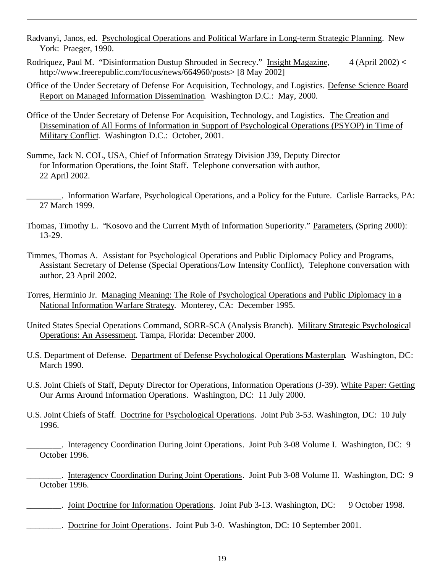- Radvanyi, Janos, ed. Psychological Operations and Political Warfare in Long-term Strategic Planning. New York: Praeger, 1990.
- Rodriquez, Paul M. "Disinformation Dustup Shrouded in Secrecy." Insight Magazine, 4 (April 2002) **<** http://www.freerepublic.com/focus/news/664960/posts> [8 May 2002]
- Office of the Under Secretary of Defense For Acquisition, Technology, and Logistics. Defense Science Board Report on Managed Information Dissemination. Washington D.C.: May, 2000.
- Office of the Under Secretary of Defense For Acquisition, Technology, and Logistics. The Creation and Dissemination of All Forms of Information in Support of Psychological Operations (PSYOP) in Time of Military Conflict. Washington D.C.: October, 2001.
- Summe, Jack N. COL, USA, Chief of Information Strategy Division J39, Deputy Director for Information Operations, the Joint Staff. Telephone conversation with author, 22 April 2002.

 $\overline{a}$ 

- \_\_\_\_\_\_\_\_. Information Warfare, Psychological Operations, and a Policy for the Future. Carlisle Barracks, PA: 27 March 1999.
- Thomas, Timothy L. "Kosovo and the Current Myth of Information Superiority." Parameters, (Spring 2000): 13-29.
- Timmes, Thomas A. Assistant for Psychological Operations and Public Diplomacy Policy and Programs, Assistant Secretary of Defense (Special Operations/Low Intensity Conflict), Telephone conversation with author, 23 April 2002.
- Torres, Herminio Jr. Managing Meaning: The Role of Psychological Operations and Public Diplomacy in a National Information Warfare Strategy. Monterey, CA: December 1995.
- United States Special Operations Command, SORR-SCA (Analysis Branch). Military Strategic Psychological Operations: An Assessment. Tampa, Florida: December 2000.
- U.S. Department of Defense. Department of Defense Psychological Operations Masterplan. Washington, DC: March 1990.
- U.S. Joint Chiefs of Staff, Deputy Director for Operations, Information Operations (J-39). White Paper: Getting Our Arms Around Information Operations. Washington, DC: 11 July 2000.
- U.S. Joint Chiefs of Staff. Doctrine for Psychological Operations. Joint Pub 3-53. Washington, DC: 10 July 1996.

\_\_\_\_\_\_\_\_. Interagency Coordination During Joint Operations. Joint Pub 3-08 Volume I. Washington, DC: 9 October 1996.

. Interagency Coordination During Joint Operations. Joint Pub 3-08 Volume II. Washington, DC: 9 October 1996.

- \_\_\_\_\_\_\_\_. Joint Doctrine for Information Operations. Joint Pub 3-13. Washington, DC: 9 October 1998.
- \_\_\_\_\_\_\_\_. Doctrine for Joint Operations. Joint Pub 3-0. Washington, DC: 10 September 2001.